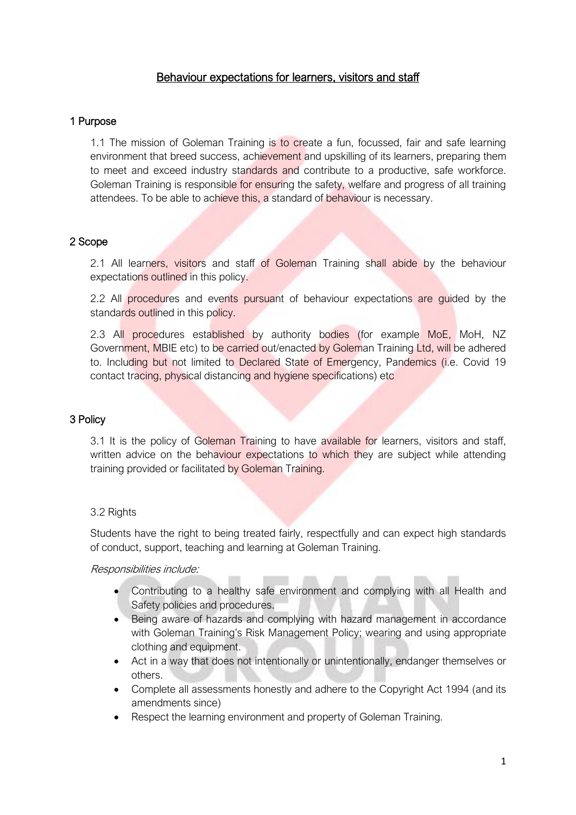# Behaviour expectations for learners, visitors and staff

## 1 Purpose

1.1 The mission of Goleman Training is to create a fun, focussed, fair and safe learning environment that breed success, achievement and upskilling of its learners, preparing them to meet and exceed industry standards and contribute to a productive, safe workforce. Goleman Training is responsible for ensuring the safety, welfare and progress of all training attendees. To be able to achieve this, a standard of behaviour is necessary.

# 2 Scope

2.1 All learners, visitors and staff of Goleman Training shall abide by the behaviour expectations outlined in this policy.

2.2 All procedures and events pursuant of behaviour expectations are guided by the standards outlined in this policy.

2.3 All procedures established by authority bodies (for example MoE, MoH, NZ Government, MBIE etc) to be carried out/enacted by Goleman Training Ltd, will be adhered to. Including but not limited to Declared State of Emergency, Pandemics (i.e. Covid 19 contact tracing, physical distancing and hygiene specifications) etc

## 3 Policy

3.1 It is the policy of Goleman Training to have available for learners, visitors and staff, written advice on the behaviour expectations to which they are subject while attending training provided or facilitated by Goleman Training.

## 3.2 Rights

Students have the right to being treated fairly, respectfully and can expect high standards of conduct, support, teaching and learning at Goleman Training.

Responsibilities include:

- Contributing to a healthy safe environment and complying with all Health and Safety policies and procedures.
- Being aware of hazards and complying with hazard management in accordance with Goleman Training's Risk Management Policy; wearing and using appropriate clothing and equipment.
- Act in a way that does not intentionally or unintentionally, endanger themselves or others.
- Complete all assessments honestly and adhere to the Copyright Act 1994 (and its amendments since)
- Respect the learning environment and property of Goleman Training.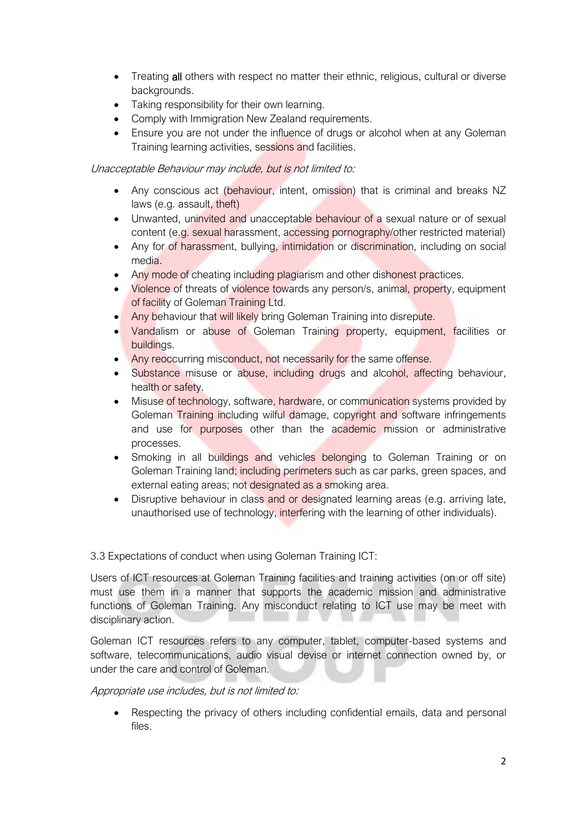- Treating all others with respect no matter their ethnic, religious, cultural or diverse backgrounds.
- Taking responsibility for their own learning.
- Comply with Immigration New Zealand requirements.
- Ensure you are not under the influence of drugs or alcohol when at any Goleman Training learning activities, sessions and facilities.

#### Unacceptable Behaviour may include, but is not limited to:

- Any conscious act (behaviour, intent, omission) that is criminal and breaks NZ laws (e.g. assault, theft)
- Unwanted, uninvited and unacceptable behaviour of a sexual nature or of sexual content (e.g. sexual harassment, accessing pornography/other restricted material)
- Any for of harassment, bullying, intimidation or discrimination, including on social media.
- Any mode of cheating including plagiarism and other dishonest practices.
- Violence of threats of violence towards any person/s, animal, property, equipment of facility of Goleman Training Ltd.
- Any behaviour that will likely bring Goleman Training into disrepute.
- Vandalism or abuse of Goleman Training property, equipment, facilities or buildings.
- Any reoccurring misconduct, not necessarily for the same offense.
- Substance misuse or abuse, including drugs and alcohol, affecting behaviour, health or safety.
- Misuse of technology, software, hardware, or communication systems provided by Goleman Training including wilful damage, copyright and software infringements and use for purposes other than the academic mission or administrative processes.
- Smoking in all buildings and vehicles belonging to Goleman Training or on Goleman Training land; including perimeters such as car parks, green spaces, and external eating areas; not designated as a smoking area.
- Disruptive behaviour in class and or designated learning areas (e.g. arriving late, unauthorised use of technology, interfering with the learning of other individuals).

## 3.3 Expectations of conduct when using Goleman Training ICT:

Users of ICT resources at Goleman Training facilities and training activities (on or off site) must use them in a manner that supports the academic mission and administrative functions of Goleman Training. Any misconduct relating to ICT use may be meet with disciplinary action.

Goleman ICT resources refers to any computer, tablet, computer-based systems and software, telecommunications, audio visual devise or internet connection owned by, or under the care and control of Goleman.

## Appropriate use includes, but is not limited to:

Respecting the privacy of others including confidential emails, data and personal files.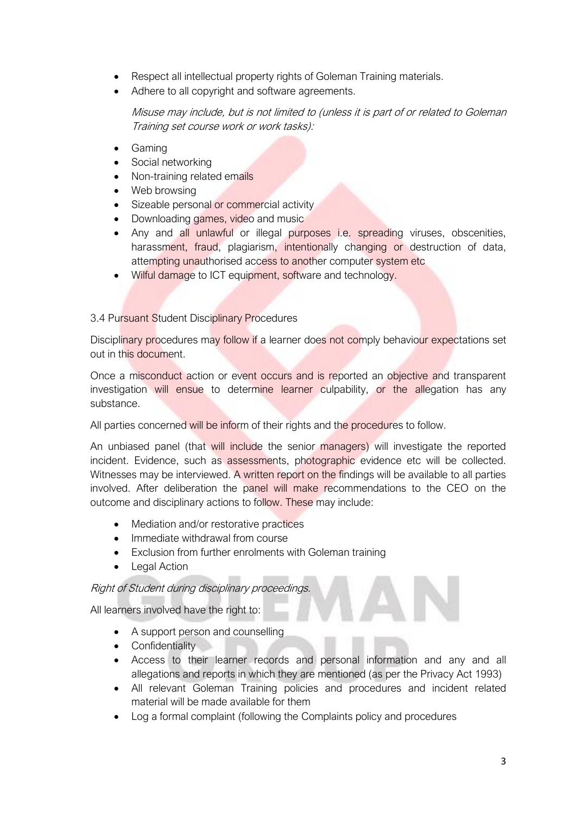- Respect all intellectual property rights of Goleman Training materials.
- Adhere to all copyright and software agreements.

Misuse may include, but is not limited to (unless it is part of or related to Goleman Training set course work or work tasks):

- Gaming
- Social networking
- Non-training related emails
- Web browsing
- Sizeable personal or commercial activity
- Downloading games, video and music
- Any and all unlawful or illegal purposes i.e. spreading viruses, obscenities, harassment, fraud, plagiarism, intentionally changing or destruction of data, attempting unauthorised access to another computer system etc
- Wilful damage to ICT equipment, software and technology.

## 3.4 Pursuant Student Disciplinary Procedures

Disciplinary procedures may follow if a learner does not comply behaviour expectations set out in this document.

Once a misconduct action or event occurs and is reported an objective and transparent investigation will ensue to determine learner culpability, or the allegation has any substance.

All parties concerned will be inform of their rights and the procedures to follow.

An unbiased panel (that will include the senior managers) will investigate the reported incident. Evidence, such as assessments, photographic evidence etc will be collected. Witnesses may be interviewed. A written report on the findings will be available to all parties involved. After deliberation the panel will make recommendations to the CEO on the outcome and disciplinary actions to follow. These may include:

- Mediation and/or restorative practices
- Immediate withdrawal from course
- Exclusion from further enrolments with Goleman training
- Legal Action

## Right of Student during disciplinary proceedings.

All learners involved have the right to:

- A support person and counselling
- Confidentiality
- Access to their learner records and personal information and any and all allegations and reports in which they are mentioned (as per the Privacy Act 1993)
- All relevant Goleman Training policies and procedures and incident related material will be made available for them
- Log a formal complaint (following the Complaints policy and procedures